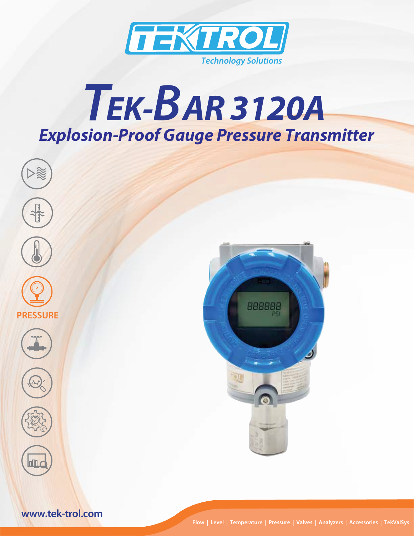

# *Explosion-Proof Gauge Pressure Transmitter TEK-B AR 3120A*



**Flow | Level | Temperature | Pressure | Valves | Analyzers | Accessories | TekValSys**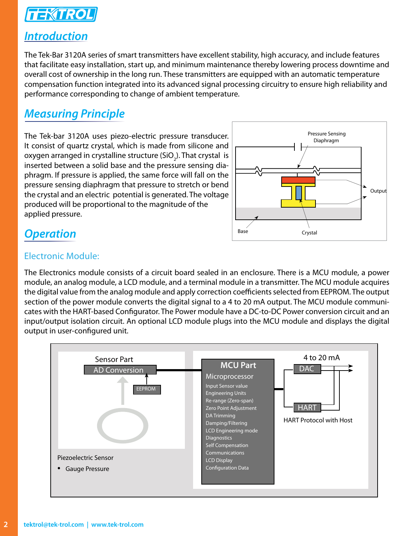

#### *Introduction*

The Tek-Bar 3120A series of smart transmitters have excellent stability, high accuracy, and include features that facilitate easy installation, start up, and minimum maintenance thereby lowering process downtime and overall cost of ownership in the long run. These transmitters are equipped with an automatic temperature compensation function integrated into its advanced signal processing circuitry to ensure high reliability and performance corresponding to change of ambient temperature.

# *Measuring Principle*

The Tek-bar 3120A uses piezo-electric pressure transducer. It consist of quartz crystal, which is made from silicone and oxygen arranged in crystalline structure (SiO<sub>2</sub>). That crystal is inserted between a solid base and the pressure sensing diaphragm. If pressure is applied, the same force will fall on the pressure sensing diaphragm that pressure to stretch or bend the crystal and an electric potential is generated. The voltage produced will be proportional to the magnitude of the applied pressure.



#### *Operation*

#### Electronic Module:

The Electronics module consists of a circuit board sealed in an enclosure. There is a MCU module, a power module, an analog module, a LCD module, and a terminal module in a transmitter. The MCU module acquires the digital value from the analog module and apply correction coefficients selected from EEPROM. The output section of the power module converts the digital signal to a 4 to 20 mA output. The MCU module communicates with the HART-based Configurator. The Power module have a DC-to-DC Power conversion circuit and an input/output isolation circuit. An optional LCD module plugs into the MCU module and displays the digital output in user-configured unit.

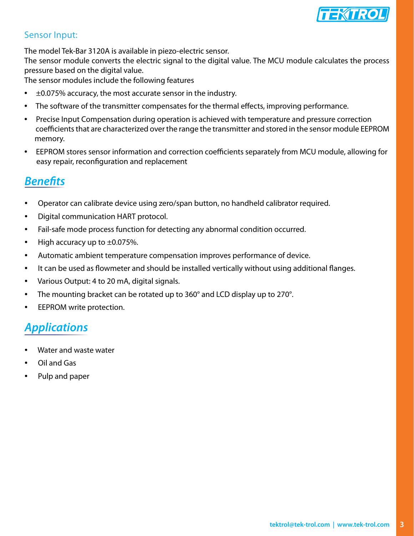

#### Sensor Input:

The model Tek-Bar 3120A is available in piezo-electric sensor.

The sensor module converts the electric signal to the digital value. The MCU module calculates the process pressure based on the digital value.

The sensor modules include the following features

- ±0.075% accuracy, the most accurate sensor in the industry.
- The software of the transmitter compensates for the thermal effects, improving performance.
- Precise Input Compensation during operation is achieved with temperature and pressure correction coefficients that are characterized over the range the transmitter and stored in the sensor module EEPROM memory.
- EEPROM stores sensor information and correction coefficients separately from MCU module, allowing for easy repair, reconfiguration and replacement

# *Benefits*

- Operator can calibrate device using zero/span button, no handheld calibrator required.
- Digital communication HART protocol.
- Fail-safe mode process function for detecting any abnormal condition occurred.
- High accuracy up to  $\pm 0.075$ %.
- Automatic ambient temperature compensation improves performance of device.
- It can be used as flowmeter and should be installed vertically without using additional flanges.
- Various Output: 4 to 20 mA, digital signals.
- The mounting bracket can be rotated up to 360° and LCD display up to 270°.
- EEPROM write protection.

# *Applications*

- Water and waste water
- Oil and Gas
- Pulp and paper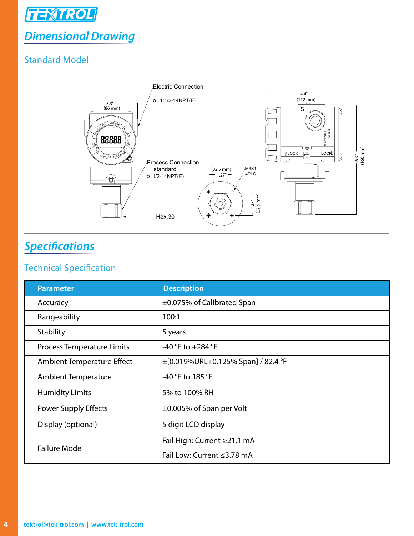

# *Dimensional Drawing*

#### Standard Model



# *Specifications*

#### Technical Specification

| <b>Parameter</b>                  | <b>Description</b>                      |  |  |  |
|-----------------------------------|-----------------------------------------|--|--|--|
| Accuracy                          | ±0.075% of Calibrated Span              |  |  |  |
| Rangeability                      | 100:1                                   |  |  |  |
| Stability                         | 5 years                                 |  |  |  |
| <b>Process Temperature Limits</b> | -40 °F to +284 °F                       |  |  |  |
| Ambient Temperature Effect        | $\pm$ [0.019%URL+0.125% Span] / 82.4 °F |  |  |  |
| <b>Ambient Temperature</b>        | -40 °F to 185 °F                        |  |  |  |
| <b>Humidity Limits</b>            | 5% to 100% RH                           |  |  |  |
| <b>Power Supply Effects</b>       | $\pm 0.005\%$ of Span per Volt          |  |  |  |
| Display (optional)                | 5 digit LCD display                     |  |  |  |
| <b>Failure Mode</b>               | Fail High: Current ≥21.1 mA             |  |  |  |
|                                   | Fail Low: Current ≤3.78 mA              |  |  |  |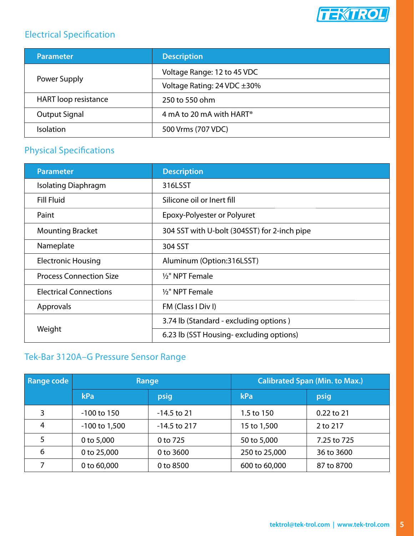

#### Electrical Specification

| <b>Parameter</b>            | <b>Description</b>                   |  |  |  |
|-----------------------------|--------------------------------------|--|--|--|
| Power Supply                | Voltage Range: 12 to 45 VDC          |  |  |  |
|                             | Voltage Rating: 24 VDC ±30%          |  |  |  |
| <b>HART</b> loop resistance | 250 to 550 ohm                       |  |  |  |
| <b>Output Signal</b>        | 4 mA to 20 mA with HART <sup>®</sup> |  |  |  |
| <b>Isolation</b>            | 500 Vrms (707 VDC)                   |  |  |  |

#### Physical Specifications

| <b>Parameter</b>               | <b>Description</b>                           |  |  |  |
|--------------------------------|----------------------------------------------|--|--|--|
| <b>Isolating Diaphragm</b>     | 316LSST                                      |  |  |  |
| <b>Fill Fluid</b>              | Silicone oil or Inert fill                   |  |  |  |
| Paint                          | Epoxy-Polyester or Polyuret                  |  |  |  |
| <b>Mounting Bracket</b>        | 304 SST with U-bolt (304SST) for 2-inch pipe |  |  |  |
| Nameplate                      | 304 SST                                      |  |  |  |
| <b>Electronic Housing</b>      | Aluminum (Option:316LSST)                    |  |  |  |
| <b>Process Connection Size</b> | 1/2" NPT Female                              |  |  |  |
| <b>Electrical Connections</b>  | 1/2" NPT Female                              |  |  |  |
| Approvals                      | FM (Class I Div I)                           |  |  |  |
| Weight                         | 3.74 lb (Standard - excluding options)       |  |  |  |
|                                | 6.23 lb (SST Housing-excluding options)      |  |  |  |

#### Tek-Bar 3120A–G Pressure Sensor Range

| <b>Range code</b> | Range             |                | <b>Calibrated Span (Min. to Max.)</b> |              |  |
|-------------------|-------------------|----------------|---------------------------------------|--------------|--|
|                   | kPa               | psig           | kPa                                   | psig         |  |
| 3                 | $-100$ to $150$   | $-14.5$ to 21  | 1.5 to 150                            | $0.22$ to 21 |  |
| 4                 | $-100$ to $1,500$ | $-14.5$ to 217 | 15 to 1,500                           | 2 to 217     |  |
| 5                 | 0 to 5,000        | 0 to 725       | 50 to 5,000                           | 7.25 to 725  |  |
| 6                 | 0 to 25,000       | 0 to 3600      | 250 to 25,000                         | 36 to 3600   |  |
| 7                 | 0 to 60,000       | 0 to 8500      | 600 to 60,000                         | 87 to 8700   |  |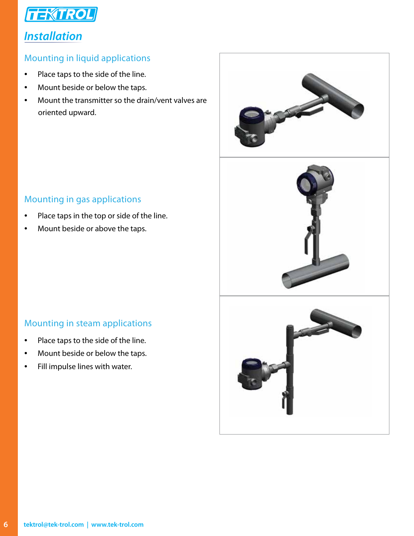

#### *Installation*

#### Mounting in liquid applications

- Place taps to the side of the line.
- Mount beside or below the taps.
- Mount the transmitter so the drain/vent valves are oriented upward.



- Place taps in the top or side of the line.
- Mount beside or above the taps.

#### Mounting in steam applications

- Place taps to the side of the line.
- Mount beside or below the taps.
- Fill impulse lines with water.

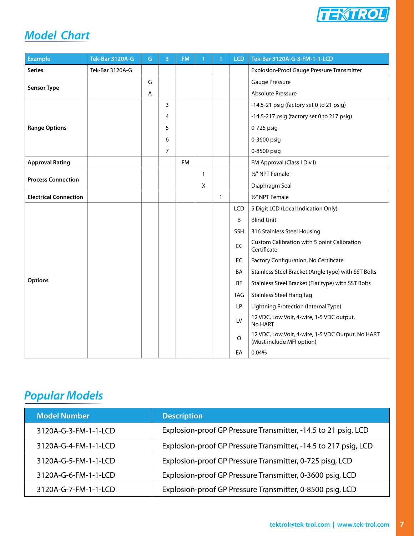

# *Model Chart*

| <b>Example</b>               | <b>Tek-Bar 3120A-G</b> | G.             | 3 | <b>FM</b> | $\mathbf{1}$ | $\mathbf{1}$ | <b>LCD</b> | Tek-Bar 3120A-G-3-FM-1-1-LCD                                                   |
|------------------------------|------------------------|----------------|---|-----------|--------------|--------------|------------|--------------------------------------------------------------------------------|
| <b>Series</b>                | Tek-Bar 3120A-G        |                |   |           |              |              |            | <b>Explosion-Proof Gauge Pressure Transmitter</b>                              |
|                              |                        | G              |   |           |              |              |            | Gauge Pressure                                                                 |
| <b>Sensor Type</b>           |                        | $\overline{A}$ |   |           |              |              |            | <b>Absolute Pressure</b>                                                       |
|                              |                        |                | 3 |           |              |              |            | -14.5-21 psig (factory set 0 to 21 psig)                                       |
|                              |                        |                | 4 |           |              |              |            | -14.5-217 psig (factory set 0 to 217 psig)                                     |
| <b>Range Options</b>         |                        |                | 5 |           |              |              |            | 0-725 psig                                                                     |
|                              |                        |                | 6 |           |              |              |            | 0-3600 psig                                                                    |
|                              |                        |                | 7 |           |              |              |            | 0-8500 psig                                                                    |
| <b>Approval Rating</b>       |                        |                |   | <b>FM</b> |              |              |            | FM Approval (Class I Div I)                                                    |
| <b>Process Connection</b>    |                        |                |   |           | 1            |              |            | 1/2" NPT Female                                                                |
|                              |                        |                |   |           | X            |              |            | Diaphragm Seal                                                                 |
| <b>Electrical Connection</b> |                        |                |   |           |              | $\mathbf{1}$ |            | 1/2" NPT Female                                                                |
|                              |                        |                |   |           |              |              | LCD        | 5 Digit LCD (Local Indication Only)                                            |
|                              |                        |                |   |           |              |              | B          | <b>Blind Unit</b>                                                              |
|                              |                        |                |   |           |              |              | <b>SSH</b> | 316 Stainless Steel Housing                                                    |
|                              |                        |                |   |           |              |              | CC         | Custom Calibration with 5 point Calibration<br>Certificate                     |
|                              |                        |                |   |           |              |              | <b>FC</b>  | Factory Configuration, No Certificate                                          |
|                              |                        |                |   |           |              |              | BA         | Stainless Steel Bracket (Angle type) with SST Bolts                            |
| Options                      |                        |                |   |           |              |              | <b>BF</b>  | Stainless Steel Bracket (Flat type) with SST Bolts                             |
|                              |                        |                |   |           |              |              | <b>TAG</b> | <b>Stainless Steel Hang Tag</b>                                                |
|                              |                        |                |   |           |              |              | LP         | Lightning Protection (Internal Type)                                           |
|                              |                        |                |   |           |              |              | LV         | 12 VDC, Low Volt, 4-wire, 1-5 VDC output,<br>No HART                           |
|                              |                        |                |   |           |              |              | $\circ$    | 12 VDC, Low Volt, 4-wire, 1-5 VDC Output, No HART<br>(Must include MFI option) |
|                              |                        |                |   |           |              |              | EA         | 0.04%                                                                          |

# *Popular Models*

| <b>Model Number</b>  | <b>Description</b>                                              |
|----------------------|-----------------------------------------------------------------|
| 3120A-G-3-FM-1-1-LCD | Explosion-proof GP Pressure Transmitter, -14.5 to 21 psig, LCD  |
| 3120A-G-4-FM-1-1-LCD | Explosion-proof GP Pressure Transmitter, -14.5 to 217 psig, LCD |
| 3120A-G-5-FM-1-1-LCD | Explosion-proof GP Pressure Transmitter, 0-725 pisg, LCD        |
| 3120A-G-6-FM-1-1-LCD | Explosion-proof GP Pressure Transmitter, 0-3600 psig, LCD       |
| 3120A-G-7-FM-1-1-LCD | Explosion-proof GP Pressure Transmitter, 0-8500 psig, LCD       |